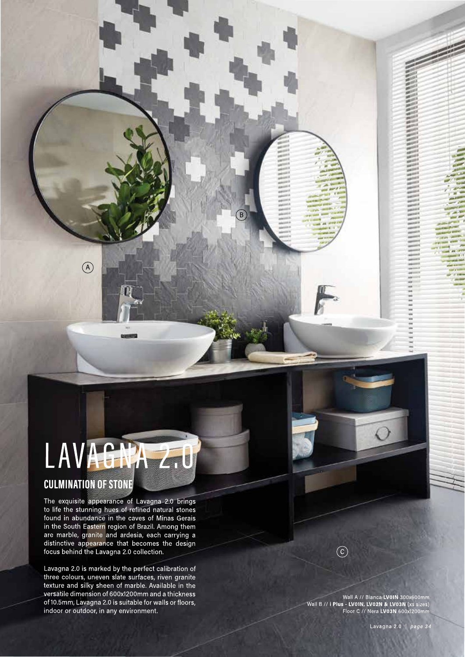## LAVAGNA 20

### **CULMINATION OF STONE**

 $\odot$ 

The exquisite appearance of Lavagna 2.0 brings to life the stunning hues of refined natural stones found in abundance in the caves of Minas Gerais in the South Eastern region of Brazil. Among them<br>are marble, granite and ardesia, each carrying a<br>distinctive appearance that becomes the design focus behind the Lavagna 2.0 collection.

Lavagna 2.0 is marked by the perfect calibration of three colours, uneven slate surfaces, riven granite texture and silky sheen of marble. Available in the versatile dimension of 600x1200mm and a thickness of 10.5mm, Lavagna 2.0 is suitable for walls or floors, indoor or outdoor, in any environment.

 $\circled{c}$ 

Wall A // Bianca LV01N 300x600mm<br>Wall B // **i Plus - LV01N, LV02N & LV03N** (xs sizes)<br>Floor C // Nera LV03N 600x1200mm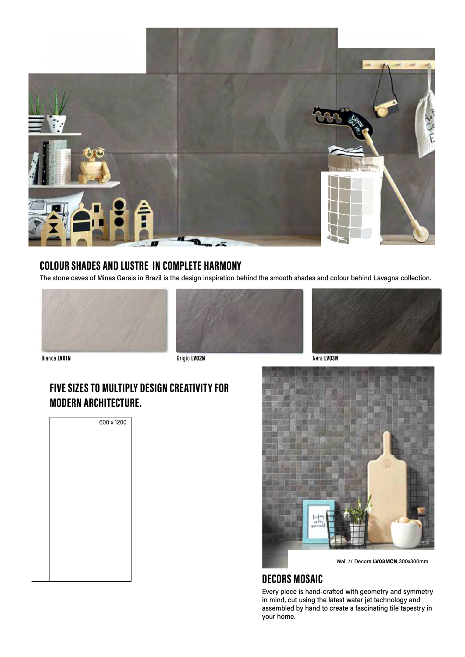

### **COLOUR SHADES AND LUSTRE IN COMPLETE HARMONY**

The stone caves of Minas Gerais in Brazil is the design inspiration behind the smooth shades and colour behind Lavagna collection.







Nera LV03N

Bianca LVOIN Grigio LVO2N

### **FIVE SIZES TO MULTIPLY DESIGN CREATIVITY FOR MODERN ARCHITECTURE.**

| 600 x 1200 |  |  |
|------------|--|--|
|            |  |  |
|            |  |  |
|            |  |  |
|            |  |  |
|            |  |  |
|            |  |  |
|            |  |  |
|            |  |  |
|            |  |  |
|            |  |  |



Wall// Decors **LV03MCN** 300x300mm

### **DECORS MOSAIC**

Every piece is hand-crafted with geometry and symmetry in mind, cut using the latest water jet technology and assembled by hand to create a fascinating tile tapestry in your home.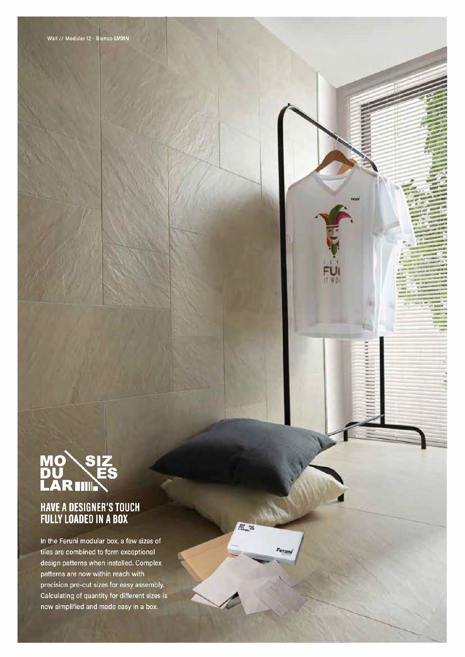# **MO SIZ<br>DU ES<br>LAR IIIII.**

### HAVE A DESIGNER'S TOUCH<br>FULLY LOADED IN A BOX

In the Feruni modular box, a few sizes of tiles are combined to form exceptional design patterns when installed. Complex patterns are now within reach with precision pre-cut sizes for easy assembly. Calculating of quantity for different sizes is now simplified and made easy in a box.

院馆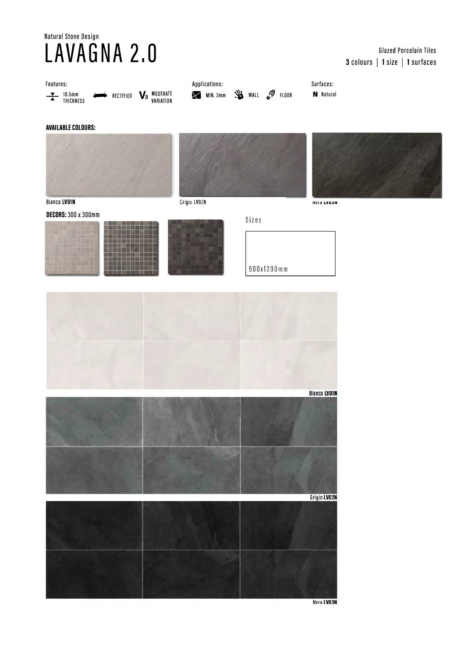## Natural Stone Design

### Glazed Porcelain Tiles 3 colours | 1 size | 1 surfaces



Nera LV03N